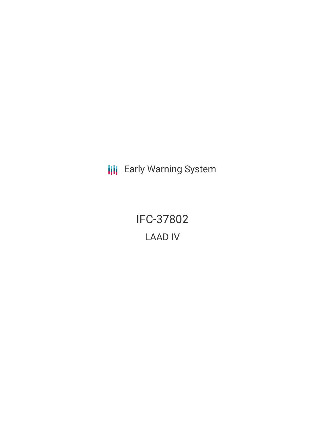**III** Early Warning System

IFC-37802 LAAD IV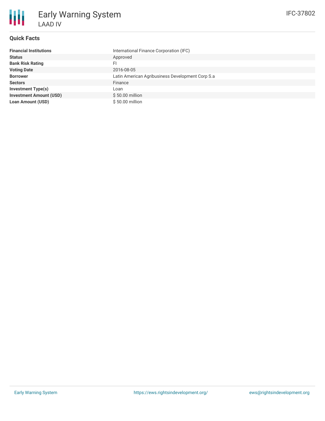

### **Quick Facts**

| <b>Financial Institutions</b>  | International Finance Corporation (IFC)          |
|--------------------------------|--------------------------------------------------|
| <b>Status</b>                  | Approved                                         |
| <b>Bank Risk Rating</b>        | FI                                               |
| <b>Voting Date</b>             | 2016-08-05                                       |
| <b>Borrower</b>                | Latin American Agribusiness Development Corp S.a |
| <b>Sectors</b>                 | Finance                                          |
| <b>Investment Type(s)</b>      | Loan                                             |
| <b>Investment Amount (USD)</b> | \$50.00 million                                  |
| <b>Loan Amount (USD)</b>       | \$50.00 million                                  |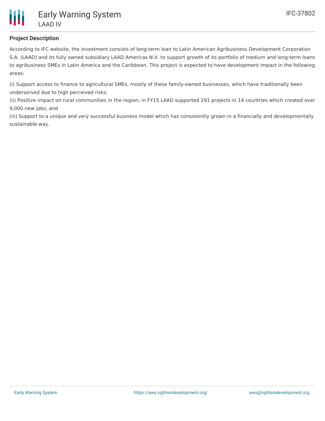

# **Project Description**

According to IFC website, the investment consists of long-term loan to Latin American Agribusiness Development Corporation S.A. (LAAD) and its fully owned subsidiary LAAD Americas N.V. to support growth of its portfolio of medium and long-term loans to agribusiness SMEs in Latin America and the Caribbean. This project is expected to have development impact in the following areas:

(i) Support access to finance to agricultural SMEs, mostly of these family-owned businesses, which have traditionally been underserved due to high perceived risks;

(ii) Positive impact on rural communities in the region; in FY15 LAAD supported 291 projects in 14 countries which created over 9,000 new jobs; and

(iii) Support to a unique and very successful business model which has consistently grown in a financially and developmentally sustainable way.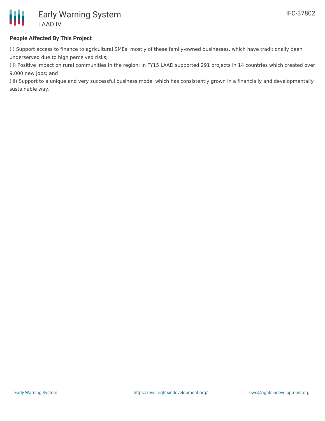

## **People Affected By This Project**

(i) Support access to finance to agricultural SMEs, mostly of these family-owned businesses, which have traditionally been underserved due to high perceived risks;

(ii) Positive impact on rural communities in the region; in FY15 LAAD supported 291 projects in 14 countries which created over 9,000 new jobs; and

(iii) Support to a unique and very successful business model which has consistently grown in a financially and developmentally sustainable way.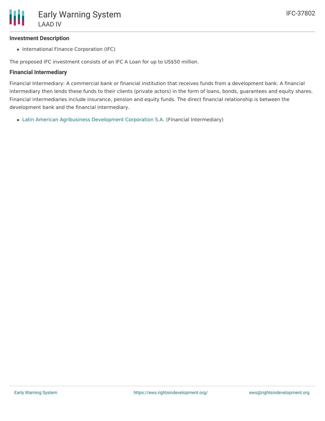#### **Investment Description**

• International Finance Corporation (IFC)

The proposed IFC investment consists of an IFC A Loan for up to US\$50 million.

#### **Financial Intermediary**

Financial Intermediary: A commercial bank or financial institution that receives funds from a development bank. A financial intermediary then lends these funds to their clients (private actors) in the form of loans, bonds, guarantees and equity shares. Financial intermediaries include insurance, pension and equity funds. The direct financial relationship is between the development bank and the financial intermediary.

Latin American Agribusiness [Development](file:///actor/984/) Corporation S.A. (Financial Intermediary)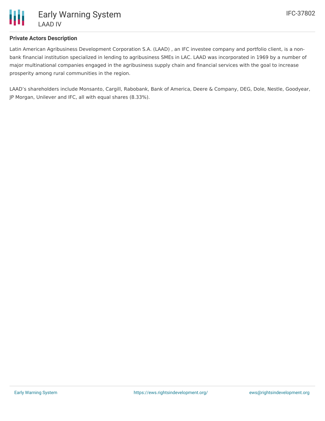

### **Private Actors Description**

Latin American Agribusiness Development Corporation S.A. (LAAD) , an IFC investee company and portfolio client, is a nonbank financial institution specialized in lending to agribusiness SMEs in LAC. LAAD was incorporated in 1969 by a number of major multinational companies engaged in the agribusiness supply chain and financial services with the goal to increase prosperity among rural communities in the region.

LAAD's shareholders include Monsanto, Cargill, Rabobank, Bank of America, Deere & Company, DEG, Dole, Nestle, Goodyear, JP Morgan, Unilever and IFC, all with equal shares (8.33%).